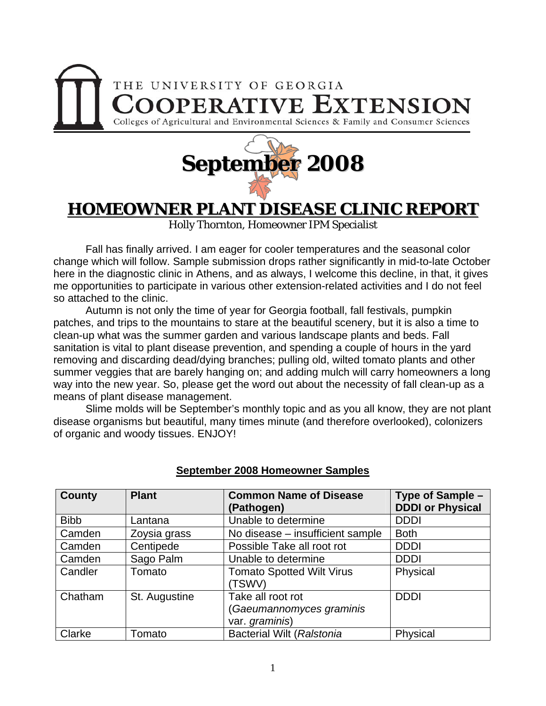



## **HOMEOWNER PLANT DISEASE CLINIC REPORT**

Holly Thornton, Homeowner IPM Specialist

 Fall has finally arrived. I am eager for cooler temperatures and the seasonal color change which will follow. Sample submission drops rather significantly in mid-to-late October here in the diagnostic clinic in Athens, and as always, I welcome this decline, in that, it gives me opportunities to participate in various other extension-related activities and I do not feel so attached to the clinic.

 Autumn is not only the time of year for Georgia football, fall festivals, pumpkin patches, and trips to the mountains to stare at the beautiful scenery, but it is also a time to clean-up what was the summer garden and various landscape plants and beds. Fall sanitation is vital to plant disease prevention, and spending a couple of hours in the yard removing and discarding dead/dying branches; pulling old, wilted tomato plants and other summer veggies that are barely hanging on; and adding mulch will carry homeowners a long way into the new year. So, please get the word out about the necessity of fall clean-up as a means of plant disease management.

 Slime molds will be September's monthly topic and as you all know, they are not plant disease organisms but beautiful, many times minute (and therefore overlooked), colonizers of organic and woody tissues. ENJOY!

| <b>County</b> | <b>Plant</b>  | <b>Common Name of Disease</b><br>(Pathogen)                     | Type of Sample -<br><b>DDDI or Physical</b> |
|---------------|---------------|-----------------------------------------------------------------|---------------------------------------------|
| <b>Bibb</b>   | Lantana       | Unable to determine                                             | <b>DDDI</b>                                 |
| Camden        | Zoysia grass  | No disease - insufficient sample                                | <b>Both</b>                                 |
| Camden        | Centipede     | Possible Take all root rot                                      | <b>DDDI</b>                                 |
| Camden        | Sago Palm     | Unable to determine                                             | <b>DDDI</b>                                 |
| Candler       | Tomato        | <b>Tomato Spotted Wilt Virus</b><br>(TSWV)                      | Physical                                    |
| Chatham       | St. Augustine | Take all root rot<br>(Gaeumannomyces graminis<br>var. graminis) | <b>DDDI</b>                                 |
| Clarke        | Tomato        | <b>Bacterial Wilt (Ralstonia</b>                                | Physical                                    |

## **September 2008 Homeowner Samples**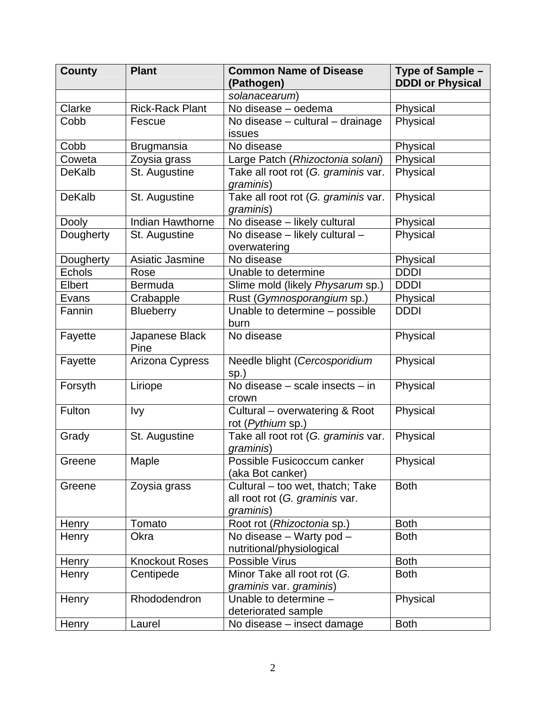| <b>County</b> | <b>Plant</b>           | <b>Common Name of Disease</b><br>(Pathogen)                                     | Type of Sample -<br><b>DDDI or Physical</b> |
|---------------|------------------------|---------------------------------------------------------------------------------|---------------------------------------------|
|               |                        | solanacearum)                                                                   |                                             |
| Clarke        | <b>Rick-Rack Plant</b> | No disease - oedema                                                             | Physical                                    |
| Cobb          | Fescue                 | No disease - cultural - drainage<br><b>issues</b>                               | Physical                                    |
| Cobb          | <b>Brugmansia</b>      | No disease                                                                      | Physical                                    |
| Coweta        | Zoysia grass           | Large Patch (Rhizoctonia solani)                                                | Physical                                    |
| <b>DeKalb</b> | St. Augustine          | Take all root rot (G. graminis var.<br>graminis)                                | Physical                                    |
| <b>DeKalb</b> | St. Augustine          | Take all root rot (G. graminis var.<br>graminis)                                | Physical                                    |
| Dooly         | Indian Hawthorne       | No disease - likely cultural                                                    | Physical                                    |
| Dougherty     | St. Augustine          | No disease - likely cultural -<br>overwatering                                  | Physical                                    |
| Dougherty     | Asiatic Jasmine        | No disease                                                                      | Physical                                    |
| <b>Echols</b> | Rose                   | Unable to determine                                                             | <b>DDDI</b>                                 |
| Elbert        | <b>Bermuda</b>         | Slime mold (likely Physarum sp.)                                                | <b>DDDI</b>                                 |
| Evans         | Crabapple              | Rust (Gymnosporangium sp.)                                                      | Physical                                    |
| Fannin        | <b>Blueberry</b>       | Unable to determine - possible<br>burn                                          | <b>DDDI</b>                                 |
| Fayette       | Japanese Black<br>Pine | No disease                                                                      | Physical                                    |
| Fayette       | Arizona Cypress        | Needle blight (Cercosporidium<br>sp.)                                           | Physical                                    |
| Forsyth       | Liriope                | No disease - scale insects - in<br>crown                                        | Physical                                    |
| Fulton        | Ivy                    | Cultural - overwatering & Root<br>rot (Pythium sp.)                             | Physical                                    |
| Grady         | St. Augustine          | Take all root rot (G. graminis var.<br>graminis)                                | Physical                                    |
| Greene        | Maple                  | Possible Fusicoccum canker<br>(aka Bot canker)                                  | Physical                                    |
| Greene        | Zoysia grass           | Cultural - too wet, thatch; Take<br>all root rot (G. graminis var.<br>graminis) | <b>Both</b>                                 |
| Henry         | Tomato                 | Root rot (Rhizoctonia sp.)                                                      | <b>Both</b>                                 |
| Henry         | Okra                   | No disease - Warty pod -<br>nutritional/physiological                           | <b>Both</b>                                 |
| Henry         | <b>Knockout Roses</b>  | Possible Virus                                                                  | <b>Both</b>                                 |
| Henry         | Centipede              | Minor Take all root rot (G.<br>graminis var. graminis)                          | <b>Both</b>                                 |
| Henry         | Rhododendron           | Unable to determine -<br>deteriorated sample                                    | Physical                                    |
| Henry         | Laurel                 | No disease - insect damage                                                      | <b>Both</b>                                 |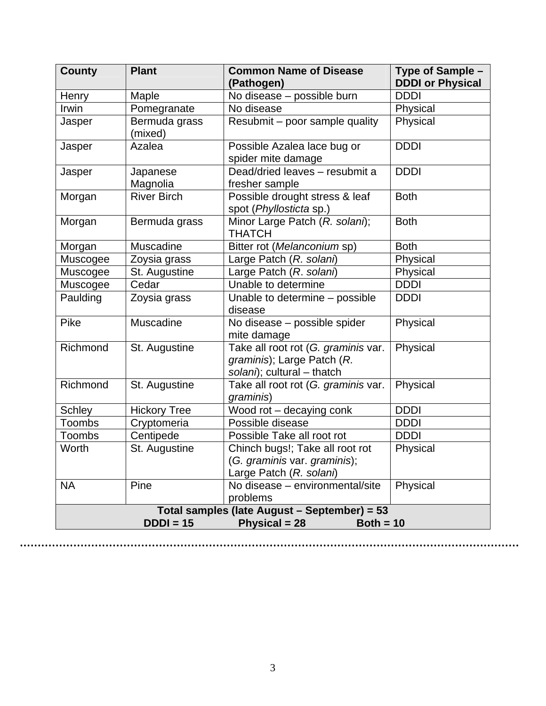| <b>County</b>                               | <b>Plant</b>                                 | <b>Common Name of Disease</b><br>(Pathogen)                                                     | Type of Sample -<br><b>DDDI or Physical</b> |  |  |  |
|---------------------------------------------|----------------------------------------------|-------------------------------------------------------------------------------------------------|---------------------------------------------|--|--|--|
| Henry                                       | Maple                                        | No disease - possible burn                                                                      | <b>DDDI</b>                                 |  |  |  |
| Irwin                                       | Pomegranate                                  | No disease                                                                                      | Physical                                    |  |  |  |
| Jasper                                      | Bermuda grass<br>(mixed)                     | Resubmit - poor sample quality                                                                  | Physical                                    |  |  |  |
| Jasper                                      | Azalea                                       | Possible Azalea lace bug or<br>spider mite damage                                               | <b>DDDI</b>                                 |  |  |  |
| Jasper                                      | Japanese<br>Magnolia                         | Dead/dried leaves - resubmit a<br>fresher sample                                                | <b>DDDI</b>                                 |  |  |  |
| Morgan                                      | <b>River Birch</b>                           | Possible drought stress & leaf<br>spot (Phyllosticta sp.)                                       | <b>Both</b>                                 |  |  |  |
| Morgan                                      | Bermuda grass                                | Minor Large Patch (R. solani);<br><b>THATCH</b>                                                 | <b>Both</b>                                 |  |  |  |
| Morgan                                      | Muscadine                                    | Bitter rot (Melanconium sp)                                                                     | <b>Both</b>                                 |  |  |  |
| Muscogee                                    | Zoysia grass                                 | Large Patch (R. solani)                                                                         | Physical                                    |  |  |  |
| Muscogee                                    | St. Augustine                                | Large Patch (R. solani)                                                                         | Physical                                    |  |  |  |
| Muscogee                                    | Cedar                                        | Unable to determine                                                                             | <b>DDDI</b>                                 |  |  |  |
| Paulding                                    | Zoysia grass                                 | Unable to determine - possible<br>disease                                                       | <b>DDDI</b>                                 |  |  |  |
| Pike                                        | Muscadine                                    | No disease - possible spider<br>mite damage                                                     | Physical                                    |  |  |  |
| Richmond                                    | St. Augustine                                | Take all root rot (G. graminis var.<br>graminis); Large Patch (R.<br>solani); cultural - thatch | Physical                                    |  |  |  |
| Richmond                                    | St. Augustine                                | Take all root rot (G. graminis var.<br>graminis)                                                | Physical                                    |  |  |  |
| Schley                                      | <b>Hickory Tree</b>                          | Wood rot - decaying conk                                                                        | <b>DDDI</b>                                 |  |  |  |
| Toombs                                      | Cryptomeria                                  | Possible disease                                                                                | <b>DDDI</b>                                 |  |  |  |
| Toombs                                      | Centipede                                    | Possible Take all root rot                                                                      | <b>DDDI</b>                                 |  |  |  |
| Worth                                       | St. Augustine                                | Chinch bugs!; Take all root rot<br>(G. graminis var. graminis);<br>Large Patch (R. solani)      | Physical                                    |  |  |  |
| <b>NA</b>                                   | Pine                                         | No disease - environmental/site<br>problems                                                     | Physical                                    |  |  |  |
|                                             | Total samples (late August - September) = 53 |                                                                                                 |                                             |  |  |  |
| $DDDI = 15$<br>Physical = 28<br>Both = $10$ |                                              |                                                                                                 |                                             |  |  |  |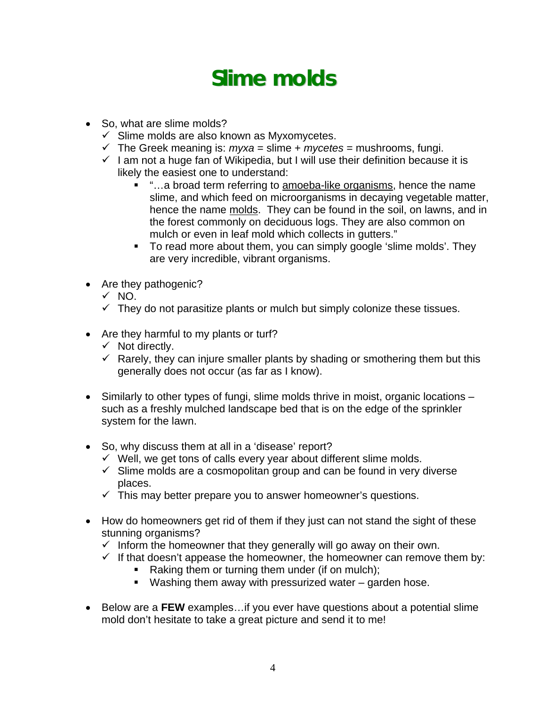## **Slime molds**

- So, what are slime molds?
	- $\checkmark$  Slime molds are also known as Myxomycetes.
	- $\checkmark$  The Greek meaning is: *myxa* = slime + *mycetes* = mushrooms, fungi.
	- $\checkmark$  I am not a huge fan of Wikipedia, but I will use their definition because it is likely the easiest one to understand:
		- "…a broad term referring to amoeba-like organisms, hence the name slime, and which feed on microorganisms in decaying vegetable matter, hence the name molds. They can be found in the soil, on lawns, and in the forest commonly on deciduous logs. They are also common on mulch or even in leaf mold which collects in gutters."
		- To read more about them, you can simply google 'slime molds'. They are very incredible, vibrant organisms.
- Are they pathogenic?
	- $\sqrt{NQ}$ .
	- $\checkmark$  They do not parasitize plants or mulch but simply colonize these tissues.
- Are they harmful to my plants or turf?
	- $\checkmark$  Not directly.
	- $\checkmark$  Rarely, they can injure smaller plants by shading or smothering them but this generally does not occur (as far as I know).
- Similarly to other types of fungi, slime molds thrive in moist, organic locations such as a freshly mulched landscape bed that is on the edge of the sprinkler system for the lawn.
- So, why discuss them at all in a 'disease' report?
	- $\checkmark$  Well, we get tons of calls every year about different slime molds.
	- $\checkmark$  Slime molds are a cosmopolitan group and can be found in very diverse places.
	- $\checkmark$  This may better prepare you to answer homeowner's questions.
- How do homeowners get rid of them if they just can not stand the sight of these stunning organisms?
	- $\checkmark$  Inform the homeowner that they generally will go away on their own.
	- $\checkmark$  If that doesn't appease the homeowner, the homeowner can remove them by:
		- Raking them or turning them under (if on mulch);
		- Washing them away with pressurized water garden hose.
- Below are a **FEW** examples…if you ever have questions about a potential slime mold don't hesitate to take a great picture and send it to me!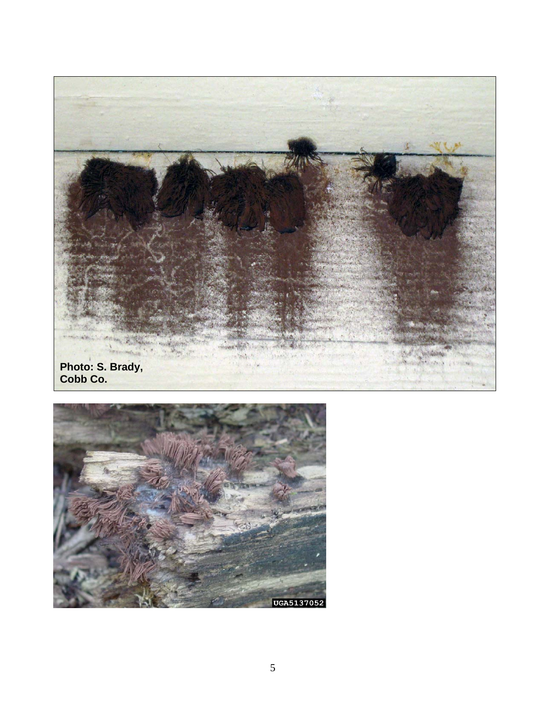

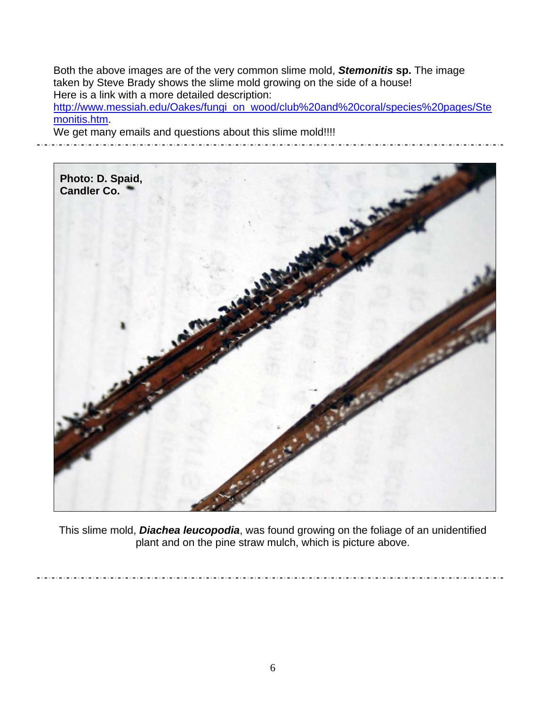Both the above images are of the very common slime mold, *Stemonitis* **sp.** The image taken by Steve Brady shows the slime mold growing on the side of a house! Here is a link with a more detailed description: [http://www.messiah.edu/Oakes/fungi\\_on\\_wood/club%20and%20coral/species%20pages/Ste](http://www.messiah.edu/Oakes/fungi_on_wood/club%20and%20coral/species%20pages/Stemonitis.htm)

[monitis.htm](http://www.messiah.edu/Oakes/fungi_on_wood/club%20and%20coral/species%20pages/Stemonitis.htm).

 $\ddot{\phantom{0}}$ 

We get many emails and questions about this slime mold!!!!



This slime mold, *Diachea leucopodia*, was found growing on the foliage of an unidentified plant and on the pine straw mulch, which is picture above.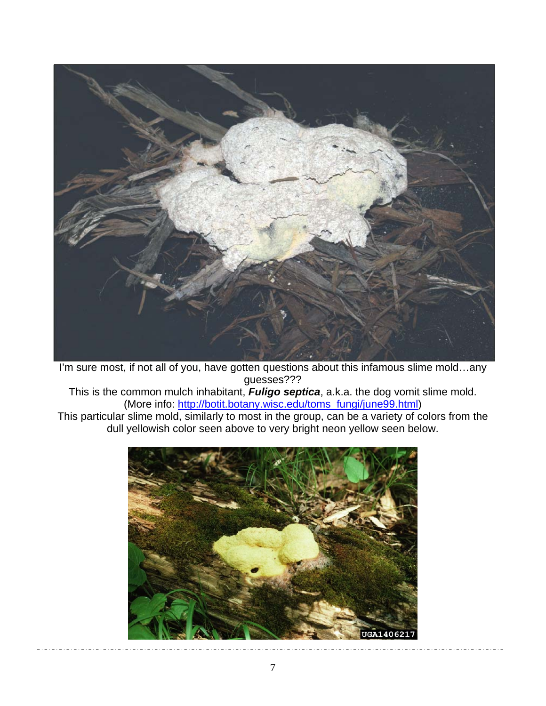

I'm sure most, if not all of you, have gotten questions about this infamous slime mold…any guesses???

This is the common mulch inhabitant, *Fuligo septica*, a.k.a. the dog vomit slime mold. (More info: [http://botit.botany.wisc.edu/toms\\_fungi/june99.html](http://botit.botany.wisc.edu/toms_fungi/june99.html))

This particular slime mold, similarly to most in the group, can be a variety of colors from the dull yellowish color seen above to very bright neon yellow seen below.